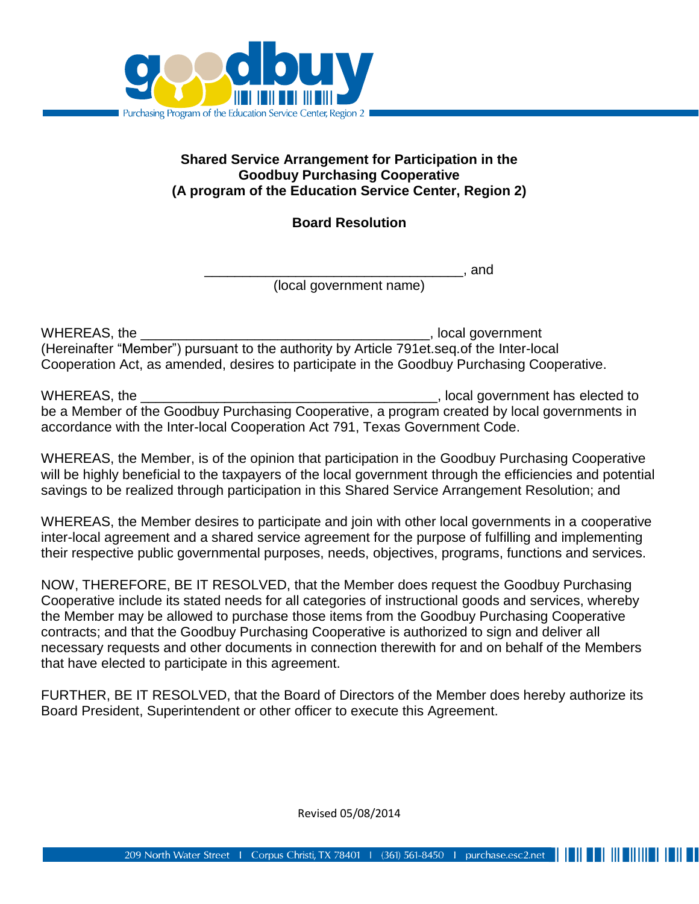

## **Shared Service Arrangement for Participation in the Goodbuy Purchasing Cooperative (A program of the Education Service Center, Region 2)**

## **Board Resolution**

\_\_\_\_\_\_\_\_\_\_\_\_\_\_\_\_\_\_\_\_\_\_\_\_\_\_\_\_\_\_\_\_\_\_, and

(local government name)

WHEREAS, the \_\_\_\_\_\_\_\_\_\_\_\_\_\_\_\_\_\_\_\_\_\_\_\_\_\_\_\_\_\_\_\_\_\_\_\_\_\_, local government (Hereinafter "Member") pursuant to the authority by Article 791et.seq.of the Inter-local Cooperation Act, as amended, desires to participate in the Goodbuy Purchasing Cooperative.

WHEREAS, the **WHEREAS** and the contract of the contract of the contract of the contract of the contract of the contract of the contract of the contract of the contract of the contract of the contract of the contract of the be a Member of the Goodbuy Purchasing Cooperative, a program created by local governments in accordance with the Inter-local Cooperation Act 791, Texas Government Code.

WHEREAS, the Member, is of the opinion that participation in the Goodbuy Purchasing Cooperative will be highly beneficial to the taxpayers of the local government through the efficiencies and potential savings to be realized through participation in this Shared Service Arrangement Resolution; and

WHEREAS, the Member desires to participate and join with other local governments in a cooperative inter-local agreement and a shared service agreement for the purpose of fulfilling and implementing their respective public governmental purposes, needs, objectives, programs, functions and services.

NOW, THEREFORE, BE IT RESOLVED, that the Member does request the Goodbuy Purchasing Cooperative include its stated needs for all categories of instructional goods and services, whereby the Member may be allowed to purchase those items from the Goodbuy Purchasing Cooperative contracts; and that the Goodbuy Purchasing Cooperative is authorized to sign and deliver all necessary requests and other documents in connection therewith for and on behalf of the Members that have elected to participate in this agreement.

FURTHER, BE IT RESOLVED, that the Board of Directors of the Member does hereby authorize its Board President, Superintendent or other officer to execute this Agreement.

Revised 05/08/2014